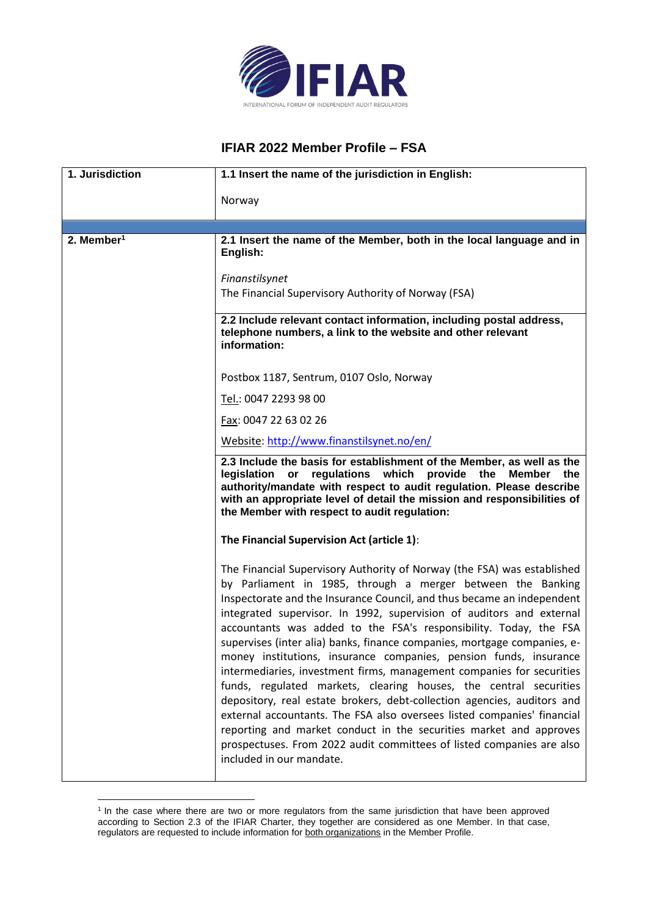

## **IFIAR 2022 Member Profile – FSA**

| 1. Jurisdiction        | 1.1 Insert the name of the jurisdiction in English:                                                                                                                                                                                                                                                                                                                                                                                                                                                                                                                                                                                                                                                                                                                                                                                                                                                                                                                                           |
|------------------------|-----------------------------------------------------------------------------------------------------------------------------------------------------------------------------------------------------------------------------------------------------------------------------------------------------------------------------------------------------------------------------------------------------------------------------------------------------------------------------------------------------------------------------------------------------------------------------------------------------------------------------------------------------------------------------------------------------------------------------------------------------------------------------------------------------------------------------------------------------------------------------------------------------------------------------------------------------------------------------------------------|
|                        | Norway                                                                                                                                                                                                                                                                                                                                                                                                                                                                                                                                                                                                                                                                                                                                                                                                                                                                                                                                                                                        |
|                        |                                                                                                                                                                                                                                                                                                                                                                                                                                                                                                                                                                                                                                                                                                                                                                                                                                                                                                                                                                                               |
| 2. Member <sup>1</sup> | 2.1 Insert the name of the Member, both in the local language and in<br>English:                                                                                                                                                                                                                                                                                                                                                                                                                                                                                                                                                                                                                                                                                                                                                                                                                                                                                                              |
|                        | Finanstilsynet<br>The Financial Supervisory Authority of Norway (FSA)                                                                                                                                                                                                                                                                                                                                                                                                                                                                                                                                                                                                                                                                                                                                                                                                                                                                                                                         |
|                        | 2.2 Include relevant contact information, including postal address,<br>telephone numbers, a link to the website and other relevant<br>information:                                                                                                                                                                                                                                                                                                                                                                                                                                                                                                                                                                                                                                                                                                                                                                                                                                            |
|                        | Postbox 1187, Sentrum, 0107 Oslo, Norway                                                                                                                                                                                                                                                                                                                                                                                                                                                                                                                                                                                                                                                                                                                                                                                                                                                                                                                                                      |
|                        | Tel.: 0047 2293 98 00                                                                                                                                                                                                                                                                                                                                                                                                                                                                                                                                                                                                                                                                                                                                                                                                                                                                                                                                                                         |
|                        | Fax: 0047 22 63 02 26                                                                                                                                                                                                                                                                                                                                                                                                                                                                                                                                                                                                                                                                                                                                                                                                                                                                                                                                                                         |
|                        | Website: http://www.finanstilsynet.no/en/                                                                                                                                                                                                                                                                                                                                                                                                                                                                                                                                                                                                                                                                                                                                                                                                                                                                                                                                                     |
|                        | 2.3 Include the basis for establishment of the Member, as well as the<br>regulations which provide the<br>legislation or<br><b>Member</b><br>the<br>authority/mandate with respect to audit regulation. Please describe<br>with an appropriate level of detail the mission and responsibilities of<br>the Member with respect to audit regulation:                                                                                                                                                                                                                                                                                                                                                                                                                                                                                                                                                                                                                                            |
|                        | The Financial Supervision Act (article 1):                                                                                                                                                                                                                                                                                                                                                                                                                                                                                                                                                                                                                                                                                                                                                                                                                                                                                                                                                    |
|                        | The Financial Supervisory Authority of Norway (the FSA) was established<br>by Parliament in 1985, through a merger between the Banking<br>Inspectorate and the Insurance Council, and thus became an independent<br>integrated supervisor. In 1992, supervision of auditors and external<br>accountants was added to the FSA's responsibility. Today, the FSA<br>supervises (inter alia) banks, finance companies, mortgage companies, e-<br>money institutions, insurance companies, pension funds, insurance<br>intermediaries, investment firms, management companies for securities<br>funds, regulated markets, clearing houses, the central securities<br>depository, real estate brokers, debt-collection agencies, auditors and<br>external accountants. The FSA also oversees listed companies' financial<br>reporting and market conduct in the securities market and approves<br>prospectuses. From 2022 audit committees of listed companies are also<br>included in our mandate. |

<sup>&</sup>lt;sup>1</sup> In the case where there are two or more regulators from the same jurisdiction that have been approved according to Section 2.3 of the IFIAR Charter, they together are considered as one Member. In that case, regulators are requested to include information for both organizations in the Member Profile.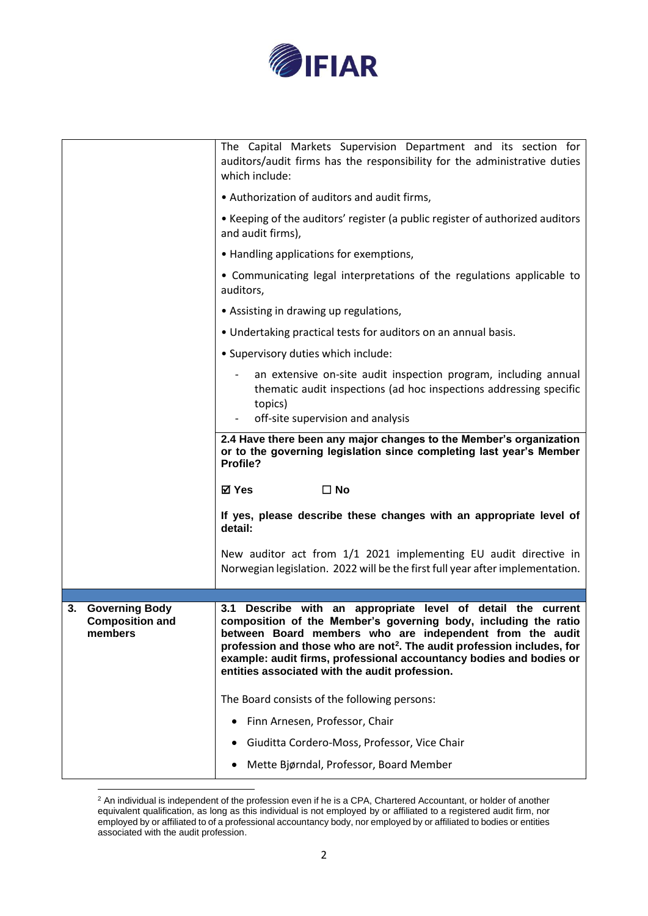

|                                                                  | The Capital Markets Supervision Department and its section for<br>auditors/audit firms has the responsibility for the administrative duties<br>which include:                                                                                                                                                                                                                                                 |
|------------------------------------------------------------------|---------------------------------------------------------------------------------------------------------------------------------------------------------------------------------------------------------------------------------------------------------------------------------------------------------------------------------------------------------------------------------------------------------------|
|                                                                  | • Authorization of auditors and audit firms,                                                                                                                                                                                                                                                                                                                                                                  |
|                                                                  | • Keeping of the auditors' register (a public register of authorized auditors<br>and audit firms),                                                                                                                                                                                                                                                                                                            |
|                                                                  | • Handling applications for exemptions,                                                                                                                                                                                                                                                                                                                                                                       |
|                                                                  | • Communicating legal interpretations of the regulations applicable to<br>auditors,                                                                                                                                                                                                                                                                                                                           |
|                                                                  | • Assisting in drawing up regulations,                                                                                                                                                                                                                                                                                                                                                                        |
|                                                                  | • Undertaking practical tests for auditors on an annual basis.                                                                                                                                                                                                                                                                                                                                                |
|                                                                  | . Supervisory duties which include:                                                                                                                                                                                                                                                                                                                                                                           |
|                                                                  | an extensive on-site audit inspection program, including annual<br>thematic audit inspections (ad hoc inspections addressing specific<br>topics)<br>off-site supervision and analysis                                                                                                                                                                                                                         |
|                                                                  | 2.4 Have there been any major changes to the Member's organization                                                                                                                                                                                                                                                                                                                                            |
|                                                                  | or to the governing legislation since completing last year's Member<br>Profile?                                                                                                                                                                                                                                                                                                                               |
|                                                                  | ⊠ Yes<br>$\square$ No                                                                                                                                                                                                                                                                                                                                                                                         |
|                                                                  | If yes, please describe these changes with an appropriate level of<br>detail:                                                                                                                                                                                                                                                                                                                                 |
|                                                                  | New auditor act from 1/1 2021 implementing EU audit directive in<br>Norwegian legislation. 2022 will be the first full year after implementation.                                                                                                                                                                                                                                                             |
| <b>Governing Body</b><br>3.<br><b>Composition and</b><br>members | Describe with an appropriate level of detail the current<br>3.1<br>composition of the Member's governing body, including the ratio<br>between Board members who are independent from the audit<br>profession and those who are not <sup>2</sup> . The audit profession includes, for<br>example: audit firms, professional accountancy bodies and bodies or<br>entities associated with the audit profession. |
|                                                                  | The Board consists of the following persons:                                                                                                                                                                                                                                                                                                                                                                  |
|                                                                  | Finn Arnesen, Professor, Chair                                                                                                                                                                                                                                                                                                                                                                                |
|                                                                  | Giuditta Cordero-Moss, Professor, Vice Chair                                                                                                                                                                                                                                                                                                                                                                  |
|                                                                  | Mette Bjørndal, Professor, Board Member                                                                                                                                                                                                                                                                                                                                                                       |

 $2$  An individual is independent of the profession even if he is a CPA, Chartered Accountant, or holder of another equivalent qualification, as long as this individual is not employed by or affiliated to a registered audit firm, nor employed by or affiliated to of a professional accountancy body, nor employed by or affiliated to bodies or entities associated with the audit profession.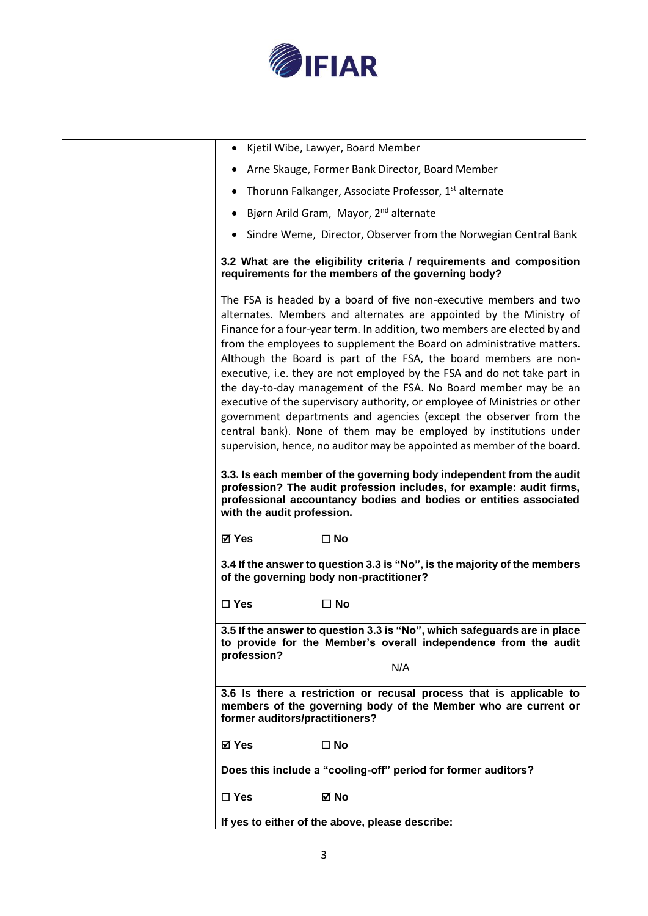

| Kjetil Wibe, Lawyer, Board Member<br>٠                                                                                                                                                                                                                                                                                                                                                                                                                                                                                                                                                                                                                                                                                                                                                                                                                                                         |
|------------------------------------------------------------------------------------------------------------------------------------------------------------------------------------------------------------------------------------------------------------------------------------------------------------------------------------------------------------------------------------------------------------------------------------------------------------------------------------------------------------------------------------------------------------------------------------------------------------------------------------------------------------------------------------------------------------------------------------------------------------------------------------------------------------------------------------------------------------------------------------------------|
| Arne Skauge, Former Bank Director, Board Member                                                                                                                                                                                                                                                                                                                                                                                                                                                                                                                                                                                                                                                                                                                                                                                                                                                |
| Thorunn Falkanger, Associate Professor, 1 <sup>st</sup> alternate                                                                                                                                                                                                                                                                                                                                                                                                                                                                                                                                                                                                                                                                                                                                                                                                                              |
| Bjørn Arild Gram, Mayor, 2 <sup>nd</sup> alternate                                                                                                                                                                                                                                                                                                                                                                                                                                                                                                                                                                                                                                                                                                                                                                                                                                             |
| Sindre Weme, Director, Observer from the Norwegian Central Bank                                                                                                                                                                                                                                                                                                                                                                                                                                                                                                                                                                                                                                                                                                                                                                                                                                |
| 3.2 What are the eligibility criteria / requirements and composition<br>requirements for the members of the governing body?                                                                                                                                                                                                                                                                                                                                                                                                                                                                                                                                                                                                                                                                                                                                                                    |
| The FSA is headed by a board of five non-executive members and two<br>alternates. Members and alternates are appointed by the Ministry of<br>Finance for a four-year term. In addition, two members are elected by and<br>from the employees to supplement the Board on administrative matters.<br>Although the Board is part of the FSA, the board members are non-<br>executive, i.e. they are not employed by the FSA and do not take part in<br>the day-to-day management of the FSA. No Board member may be an<br>executive of the supervisory authority, or employee of Ministries or other<br>government departments and agencies (except the observer from the<br>central bank). None of them may be employed by institutions under<br>supervision, hence, no auditor may be appointed as member of the board.<br>3.3. Is each member of the governing body independent from the audit |
| profession? The audit profession includes, for example: audit firms,<br>professional accountancy bodies and bodies or entities associated<br>with the audit profession.                                                                                                                                                                                                                                                                                                                                                                                                                                                                                                                                                                                                                                                                                                                        |
| <b>⊠</b> Yes<br>$\square$ No                                                                                                                                                                                                                                                                                                                                                                                                                                                                                                                                                                                                                                                                                                                                                                                                                                                                   |
| 3.4 If the answer to question 3.3 is "No", is the majority of the members<br>of the governing body non-practitioner?                                                                                                                                                                                                                                                                                                                                                                                                                                                                                                                                                                                                                                                                                                                                                                           |
| $\square$ Yes<br>$\Box$ No                                                                                                                                                                                                                                                                                                                                                                                                                                                                                                                                                                                                                                                                                                                                                                                                                                                                     |
| 3.5 If the answer to question 3.3 is "No", which safeguards are in place<br>to provide for the Member's overall independence from the audit<br>profession?<br>N/A                                                                                                                                                                                                                                                                                                                                                                                                                                                                                                                                                                                                                                                                                                                              |
| 3.6 Is there a restriction or recusal process that is applicable to<br>members of the governing body of the Member who are current or<br>former auditors/practitioners?                                                                                                                                                                                                                                                                                                                                                                                                                                                                                                                                                                                                                                                                                                                        |
| <b>⊠</b> Yes<br>$\square$ No                                                                                                                                                                                                                                                                                                                                                                                                                                                                                                                                                                                                                                                                                                                                                                                                                                                                   |
| Does this include a "cooling-off" period for former auditors?                                                                                                                                                                                                                                                                                                                                                                                                                                                                                                                                                                                                                                                                                                                                                                                                                                  |
| ⊠ No<br>$\Box$ Yes                                                                                                                                                                                                                                                                                                                                                                                                                                                                                                                                                                                                                                                                                                                                                                                                                                                                             |
| If yes to either of the above, please describe:                                                                                                                                                                                                                                                                                                                                                                                                                                                                                                                                                                                                                                                                                                                                                                                                                                                |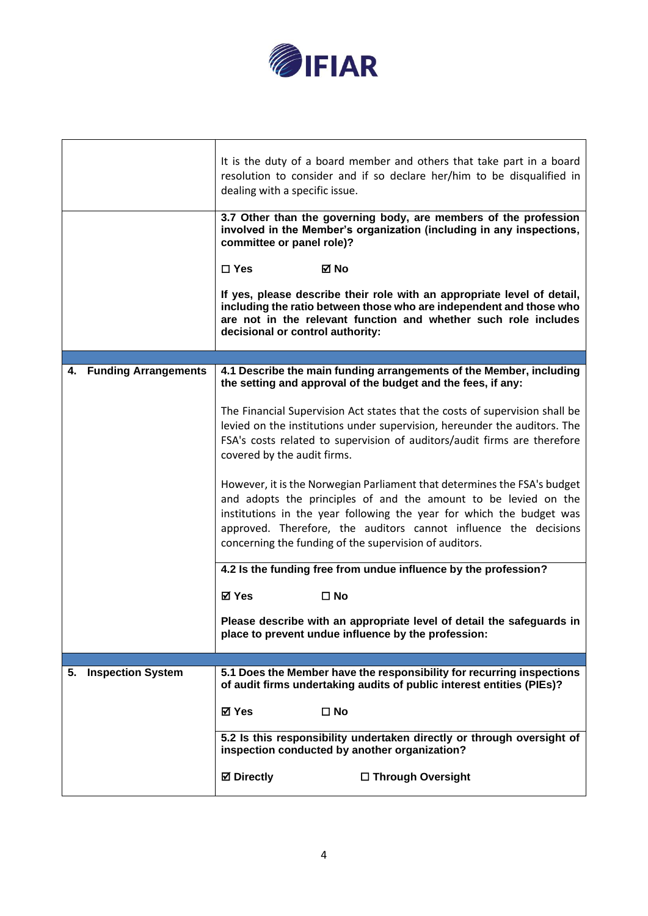

|                                | It is the duty of a board member and others that take part in a board<br>resolution to consider and if so declare her/him to be disqualified in<br>dealing with a specific issue.<br>3.7 Other than the governing body, are members of the profession<br>involved in the Member's organization (including in any inspections,<br>committee or panel role)?<br>$\Box$ Yes<br>⊠ No<br>If yes, please describe their role with an appropriate level of detail, |
|--------------------------------|-------------------------------------------------------------------------------------------------------------------------------------------------------------------------------------------------------------------------------------------------------------------------------------------------------------------------------------------------------------------------------------------------------------------------------------------------------------|
|                                | including the ratio between those who are independent and those who<br>are not in the relevant function and whether such role includes<br>decisional or control authority:                                                                                                                                                                                                                                                                                  |
| 4. Funding Arrangements        | 4.1 Describe the main funding arrangements of the Member, including                                                                                                                                                                                                                                                                                                                                                                                         |
|                                | the setting and approval of the budget and the fees, if any:                                                                                                                                                                                                                                                                                                                                                                                                |
|                                | The Financial Supervision Act states that the costs of supervision shall be<br>levied on the institutions under supervision, hereunder the auditors. The                                                                                                                                                                                                                                                                                                    |
|                                | FSA's costs related to supervision of auditors/audit firms are therefore<br>covered by the audit firms.                                                                                                                                                                                                                                                                                                                                                     |
|                                | However, it is the Norwegian Parliament that determines the FSA's budget<br>and adopts the principles of and the amount to be levied on the<br>institutions in the year following the year for which the budget was<br>approved. Therefore, the auditors cannot influence the decisions<br>concerning the funding of the supervision of auditors.                                                                                                           |
|                                | 4.2 Is the funding free from undue influence by the profession?                                                                                                                                                                                                                                                                                                                                                                                             |
|                                | <b>⊠</b> Yes<br>$\square$ No                                                                                                                                                                                                                                                                                                                                                                                                                                |
|                                | Please describe with an appropriate level of detail the safeguards in<br>place to prevent undue influence by the profession:                                                                                                                                                                                                                                                                                                                                |
|                                |                                                                                                                                                                                                                                                                                                                                                                                                                                                             |
| <b>Inspection System</b><br>5. | 5.1 Does the Member have the responsibility for recurring inspections<br>of audit firms undertaking audits of public interest entities (PIEs)?                                                                                                                                                                                                                                                                                                              |
|                                | ⊠ Yes<br>$\square$ No                                                                                                                                                                                                                                                                                                                                                                                                                                       |
|                                | 5.2 Is this responsibility undertaken directly or through oversight of<br>inspection conducted by another organization?                                                                                                                                                                                                                                                                                                                                     |
|                                | <b>⊠</b> Directly<br>□ Through Oversight                                                                                                                                                                                                                                                                                                                                                                                                                    |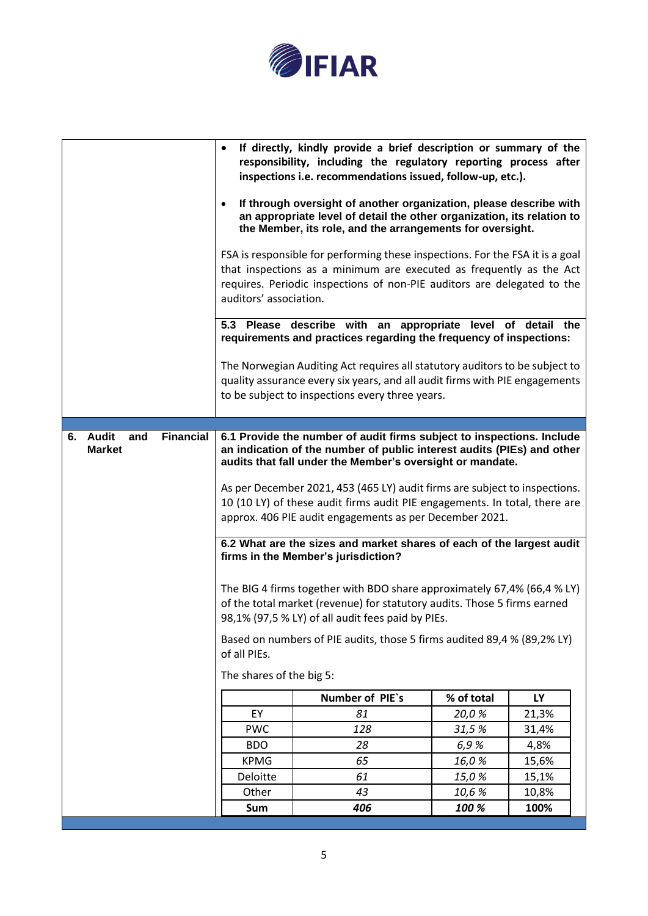

| $\bullet$                                     | auditors' association.                                                                                                                                                                                                                                                                                                                                                                                                                                                                                                                                                                                                                                                                                                                                                                                                                                                                                                                                                                                                                                                               | an appropriate level of detail the other organization, its relation to<br>the Member, its role, and the arrangements for oversight.<br>FSA is responsible for performing these inspections. For the FSA it is a goal<br>that inspections as a minimum are executed as frequently as the Act<br>requires. Periodic inspections of non-PIE auditors are delegated to the<br>5.3 Please describe with an appropriate level of detail the<br>requirements and practices regarding the frequency of inspections:<br>The Norwegian Auditing Act requires all statutory auditors to be subject to<br>quality assurance every six years, and all audit firms with PIE engagements<br>to be subject to inspections every three years. |                         |                        |
|-----------------------------------------------|--------------------------------------------------------------------------------------------------------------------------------------------------------------------------------------------------------------------------------------------------------------------------------------------------------------------------------------------------------------------------------------------------------------------------------------------------------------------------------------------------------------------------------------------------------------------------------------------------------------------------------------------------------------------------------------------------------------------------------------------------------------------------------------------------------------------------------------------------------------------------------------------------------------------------------------------------------------------------------------------------------------------------------------------------------------------------------------|------------------------------------------------------------------------------------------------------------------------------------------------------------------------------------------------------------------------------------------------------------------------------------------------------------------------------------------------------------------------------------------------------------------------------------------------------------------------------------------------------------------------------------------------------------------------------------------------------------------------------------------------------------------------------------------------------------------------------|-------------------------|------------------------|
| Financial<br>6. Audit<br>and<br><b>Market</b> | 6.1 Provide the number of audit firms subject to inspections. Include<br>an indication of the number of public interest audits (PIEs) and other<br>audits that fall under the Member's oversight or mandate.<br>As per December 2021, 453 (465 LY) audit firms are subject to inspections.<br>10 (10 LY) of these audit firms audit PIE engagements. In total, there are<br>approx. 406 PIE audit engagements as per December 2021.<br>6.2 What are the sizes and market shares of each of the largest audit<br>firms in the Member's jurisdiction?<br>The BIG 4 firms together with BDO share approximately 67,4% (66,4 % LY)<br>of the total market (revenue) for statutory audits. Those 5 firms earned<br>98,1% (97,5 % LY) of all audit fees paid by PIEs.<br>Based on numbers of PIE audits, those 5 firms audited 89,4 % (89,2% LY)<br>of all PIEs.<br>The shares of the big 5:<br>Number of PIE's<br>% of total<br><b>LY</b><br>EY<br>81<br>20,0%<br>21,3%<br><b>PWC</b><br>128<br>31,5%<br>31,4%<br><b>BDO</b><br>28<br>6,9%<br>4,8%<br><b>KPMG</b><br>65<br>16,0%<br>15,6% |                                                                                                                                                                                                                                                                                                                                                                                                                                                                                                                                                                                                                                                                                                                              |                         |                        |
|                                               | Deloitte<br>Other<br>Sum                                                                                                                                                                                                                                                                                                                                                                                                                                                                                                                                                                                                                                                                                                                                                                                                                                                                                                                                                                                                                                                             | 61<br>43<br>406                                                                                                                                                                                                                                                                                                                                                                                                                                                                                                                                                                                                                                                                                                              | 15,0%<br>10,6%<br>100 % | 15,1%<br>10,8%<br>100% |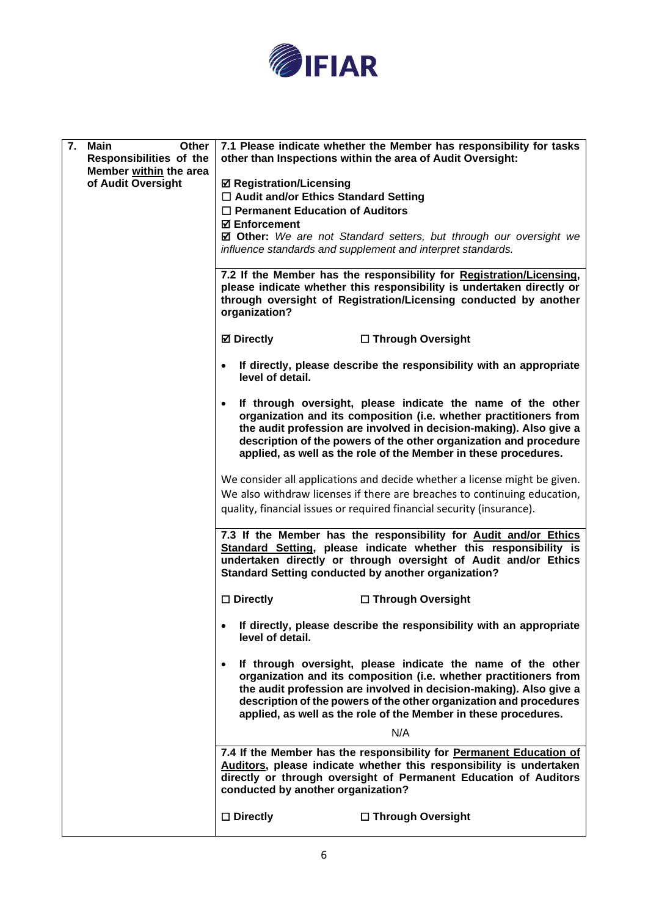

| 7.<br>Main<br>Other<br>Responsibilities of the<br>Member within the area<br>of Audit Oversight | 7.1 Please indicate whether the Member has responsibility for tasks<br>other than Inspections within the area of Audit Oversight:                                                                                 |
|------------------------------------------------------------------------------------------------|-------------------------------------------------------------------------------------------------------------------------------------------------------------------------------------------------------------------|
|                                                                                                | <b>Ø Registration/Licensing</b>                                                                                                                                                                                   |
|                                                                                                | □ Audit and/or Ethics Standard Setting                                                                                                                                                                            |
|                                                                                                | $\Box$ Permanent Education of Auditors                                                                                                                                                                            |
|                                                                                                | <b>☑ Enforcement</b>                                                                                                                                                                                              |
|                                                                                                | <b><math>\boxtimes</math> Other:</b> We are not Standard setters, but through our oversight we                                                                                                                    |
|                                                                                                | influence standards and supplement and interpret standards.                                                                                                                                                       |
|                                                                                                |                                                                                                                                                                                                                   |
|                                                                                                | 7.2 If the Member has the responsibility for Registration/Licensing,<br>please indicate whether this responsibility is undertaken directly or<br>through oversight of Registration/Licensing conducted by another |
|                                                                                                | organization?                                                                                                                                                                                                     |
|                                                                                                | <b>Ø</b> Directly<br>□ Through Oversight                                                                                                                                                                          |
|                                                                                                | If directly, please describe the responsibility with an appropriate<br>٠<br>level of detail.                                                                                                                      |
|                                                                                                | If through oversight, please indicate the name of the other<br>٠<br>organization and its composition (i.e. whether practitioners from                                                                             |
|                                                                                                | the audit profession are involved in decision-making). Also give a                                                                                                                                                |
|                                                                                                | description of the powers of the other organization and procedure                                                                                                                                                 |
|                                                                                                | applied, as well as the role of the Member in these procedures.                                                                                                                                                   |
|                                                                                                | We consider all applications and decide whether a license might be given.                                                                                                                                         |
|                                                                                                | We also withdraw licenses if there are breaches to continuing education,                                                                                                                                          |
|                                                                                                | quality, financial issues or required financial security (insurance).                                                                                                                                             |
|                                                                                                | 7.3 If the Member has the responsibility for Audit and/or Ethics                                                                                                                                                  |
|                                                                                                | Standard Setting, please indicate whether this responsibility is                                                                                                                                                  |
|                                                                                                | undertaken directly or through oversight of Audit and/or Ethics<br><b>Standard Setting conducted by another organization?</b>                                                                                     |
|                                                                                                | $\square$ Directly<br>□ Through Oversight                                                                                                                                                                         |
|                                                                                                |                                                                                                                                                                                                                   |
|                                                                                                | If directly, please describe the responsibility with an appropriate<br>level of detail.                                                                                                                           |
|                                                                                                | If through oversight, please indicate the name of the other                                                                                                                                                       |
|                                                                                                | $\bullet$<br>organization and its composition (i.e. whether practitioners from<br>the audit profession are involved in decision-making). Also give a                                                              |
|                                                                                                | description of the powers of the other organization and procedures<br>applied, as well as the role of the Member in these procedures.                                                                             |
|                                                                                                | N/A                                                                                                                                                                                                               |
|                                                                                                | 7.4 If the Member has the responsibility for Permanent Education of                                                                                                                                               |
|                                                                                                | Auditors, please indicate whether this responsibility is undertaken<br>directly or through oversight of Permanent Education of Auditors<br>conducted by another organization?                                     |
|                                                                                                |                                                                                                                                                                                                                   |
|                                                                                                | $\square$ Directly<br>□ Through Oversight                                                                                                                                                                         |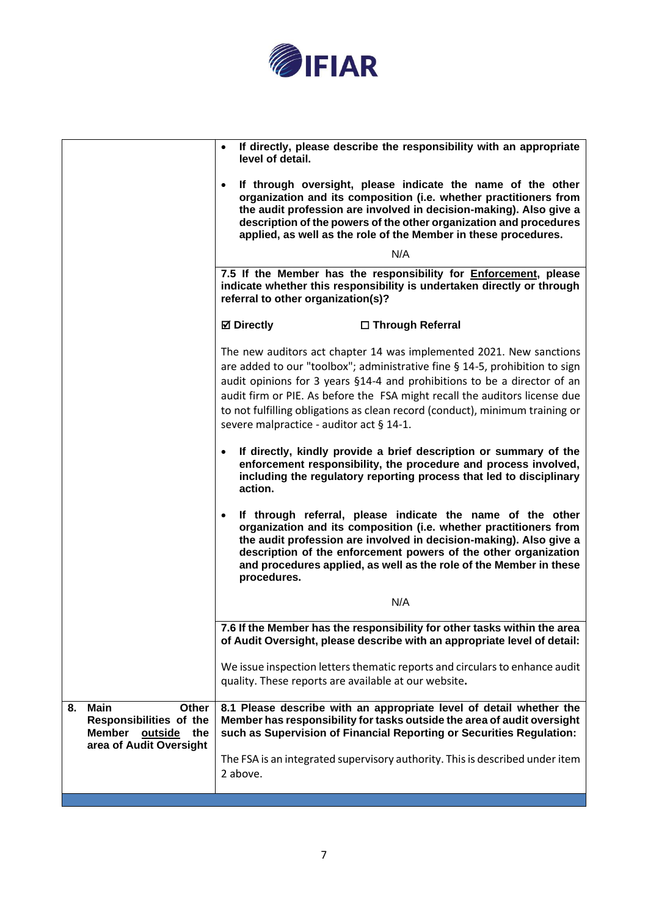

|                                                                                                                            | If directly, please describe the responsibility with an appropriate<br>level of detail.<br>If through oversight, please indicate the name of the other<br>organization and its composition (i.e. whether practitioners from<br>the audit profession are involved in decision-making). Also give a<br>description of the powers of the other organization and procedures<br>applied, as well as the role of the Member in these procedures.<br>N/A<br>7.5 If the Member has the responsibility for Enforcement, please<br>indicate whether this responsibility is undertaken directly or through<br>referral to other organization(s)? |
|----------------------------------------------------------------------------------------------------------------------------|---------------------------------------------------------------------------------------------------------------------------------------------------------------------------------------------------------------------------------------------------------------------------------------------------------------------------------------------------------------------------------------------------------------------------------------------------------------------------------------------------------------------------------------------------------------------------------------------------------------------------------------|
|                                                                                                                            | <b>⊠</b> Directly<br>□ Through Referral                                                                                                                                                                                                                                                                                                                                                                                                                                                                                                                                                                                               |
|                                                                                                                            | The new auditors act chapter 14 was implemented 2021. New sanctions<br>are added to our "toolbox"; administrative fine § 14-5, prohibition to sign<br>audit opinions for 3 years §14-4 and prohibitions to be a director of an<br>audit firm or PIE. As before the FSA might recall the auditors license due<br>to not fulfilling obligations as clean record (conduct), minimum training or<br>severe malpractice - auditor act § 14-1.                                                                                                                                                                                              |
|                                                                                                                            | If directly, kindly provide a brief description or summary of the<br>$\bullet$<br>enforcement responsibility, the procedure and process involved,<br>including the regulatory reporting process that led to disciplinary<br>action.                                                                                                                                                                                                                                                                                                                                                                                                   |
|                                                                                                                            | If through referral, please indicate the name of the other<br>$\bullet$<br>organization and its composition (i.e. whether practitioners from<br>the audit profession are involved in decision-making). Also give a<br>description of the enforcement powers of the other organization<br>and procedures applied, as well as the role of the Member in these<br>procedures.                                                                                                                                                                                                                                                            |
|                                                                                                                            | N/A                                                                                                                                                                                                                                                                                                                                                                                                                                                                                                                                                                                                                                   |
|                                                                                                                            | 7.6 If the Member has the responsibility for other tasks within the area<br>of Audit Oversight, please describe with an appropriate level of detail:                                                                                                                                                                                                                                                                                                                                                                                                                                                                                  |
|                                                                                                                            | We issue inspection letters thematic reports and circulars to enhance audit<br>quality. These reports are available at our website.                                                                                                                                                                                                                                                                                                                                                                                                                                                                                                   |
| <b>Main</b><br>8.<br><b>Other</b><br>Responsibilities of the<br><b>Member</b><br>outside<br>the<br>area of Audit Oversight | 8.1 Please describe with an appropriate level of detail whether the<br>Member has responsibility for tasks outside the area of audit oversight<br>such as Supervision of Financial Reporting or Securities Regulation:                                                                                                                                                                                                                                                                                                                                                                                                                |
|                                                                                                                            | The FSA is an integrated supervisory authority. This is described under item<br>2 above.                                                                                                                                                                                                                                                                                                                                                                                                                                                                                                                                              |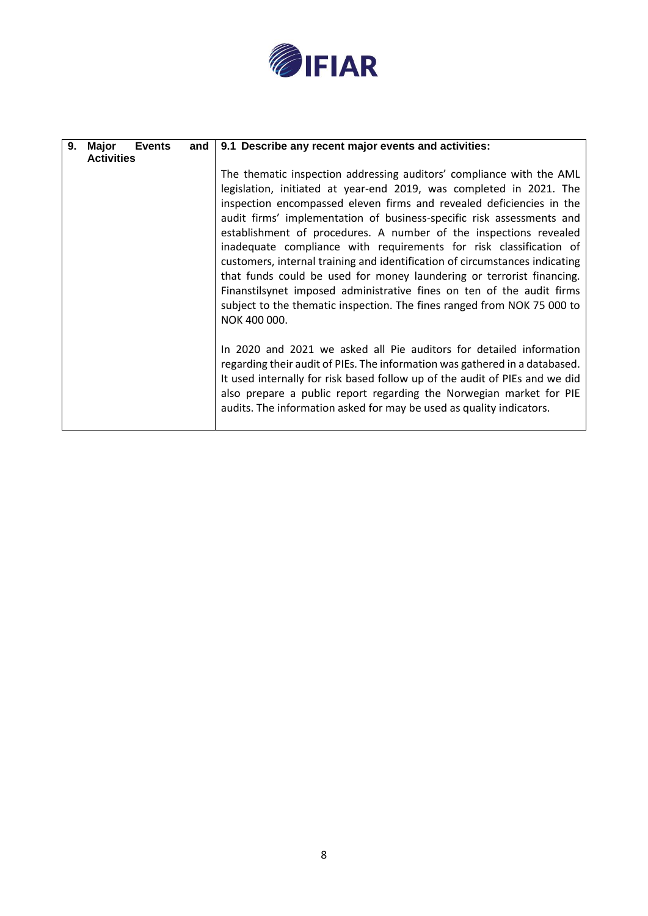

| 9. | <b>Major</b><br><b>Events</b> | and | 9.1 Describe any recent major events and activities:                                                                                                                                                                                                                                                                                                                                                                                                                                                                                                                                                                                                                                                                                                                |
|----|-------------------------------|-----|---------------------------------------------------------------------------------------------------------------------------------------------------------------------------------------------------------------------------------------------------------------------------------------------------------------------------------------------------------------------------------------------------------------------------------------------------------------------------------------------------------------------------------------------------------------------------------------------------------------------------------------------------------------------------------------------------------------------------------------------------------------------|
|    | <b>Activities</b>             |     |                                                                                                                                                                                                                                                                                                                                                                                                                                                                                                                                                                                                                                                                                                                                                                     |
|    |                               |     | The thematic inspection addressing auditors' compliance with the AML<br>legislation, initiated at year-end 2019, was completed in 2021. The<br>inspection encompassed eleven firms and revealed deficiencies in the<br>audit firms' implementation of business-specific risk assessments and<br>establishment of procedures. A number of the inspections revealed<br>inadequate compliance with requirements for risk classification of<br>customers, internal training and identification of circumstances indicating<br>that funds could be used for money laundering or terrorist financing.<br>Finanstilsynet imposed administrative fines on ten of the audit firms<br>subject to the thematic inspection. The fines ranged from NOK 75 000 to<br>NOK 400 000. |
|    |                               |     | In 2020 and 2021 we asked all Pie auditors for detailed information<br>regarding their audit of PIEs. The information was gathered in a databased.<br>It used internally for risk based follow up of the audit of PIEs and we did<br>also prepare a public report regarding the Norwegian market for PIE<br>audits. The information asked for may be used as quality indicators.                                                                                                                                                                                                                                                                                                                                                                                    |